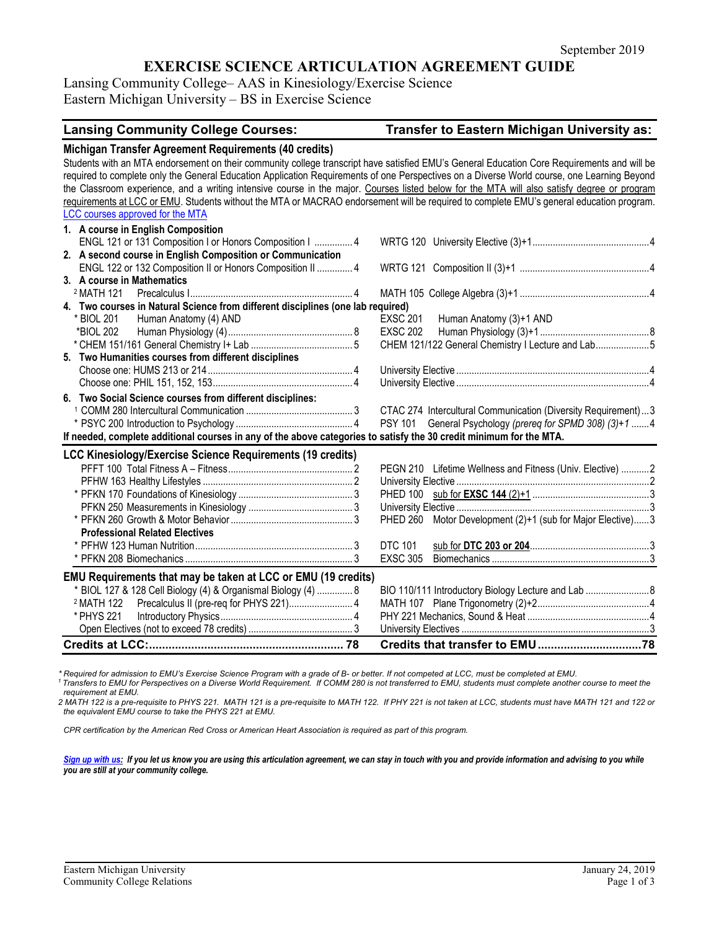## **EXERCISE SCIENCE ARTICULATION AGREEMENT GUIDE**

Lansing Community College– AAS in Kinesiology/Exercise Science Eastern Michigan University – BS in Exercise Science

# **Lansing Community College Courses: Transfer to Eastern Michigan University as:**

| Michigan Transfer Agreement Requirements (40 credits)<br>Students with an MTA endorsement on their community college transcript have satisfied EMU's General Education Core Requirements and will be<br>required to complete only the General Education Application Requirements of one Perspectives on a Diverse World course, one Learning Beyond<br>the Classroom experience, and a writing intensive course in the major. Courses listed below for the MTA will also satisfy degree or program<br>requirements at LCC or EMU. Students without the MTA or MACRAO endorsement will be required to complete EMU's general education program.<br>LCC courses approved for the MTA |                                                                    |
|------------------------------------------------------------------------------------------------------------------------------------------------------------------------------------------------------------------------------------------------------------------------------------------------------------------------------------------------------------------------------------------------------------------------------------------------------------------------------------------------------------------------------------------------------------------------------------------------------------------------------------------------------------------------------------|--------------------------------------------------------------------|
| 1. A course in English Composition<br>ENGL 121 or 131 Composition I or Honors Composition I  4                                                                                                                                                                                                                                                                                                                                                                                                                                                                                                                                                                                     |                                                                    |
| 2. A second course in English Composition or Communication                                                                                                                                                                                                                                                                                                                                                                                                                                                                                                                                                                                                                         |                                                                    |
| ENGL 122 or 132 Composition II or Honors Composition II  4                                                                                                                                                                                                                                                                                                                                                                                                                                                                                                                                                                                                                         |                                                                    |
| 3. A course in Mathematics                                                                                                                                                                                                                                                                                                                                                                                                                                                                                                                                                                                                                                                         |                                                                    |
| <sup>2</sup> MATH 121                                                                                                                                                                                                                                                                                                                                                                                                                                                                                                                                                                                                                                                              |                                                                    |
| 4. Two courses in Natural Science from different disciplines (one lab required)                                                                                                                                                                                                                                                                                                                                                                                                                                                                                                                                                                                                    |                                                                    |
| * BIOL 201 Human Anatomy (4) AND                                                                                                                                                                                                                                                                                                                                                                                                                                                                                                                                                                                                                                                   | <b>EXSC 201</b><br>Human Anatomy (3)+1 AND                         |
|                                                                                                                                                                                                                                                                                                                                                                                                                                                                                                                                                                                                                                                                                    | <b>EXSC 202</b>                                                    |
|                                                                                                                                                                                                                                                                                                                                                                                                                                                                                                                                                                                                                                                                                    | CHEM 121/122 General Chemistry I Lecture and Lab5                  |
| 5. Two Humanities courses from different disciplines                                                                                                                                                                                                                                                                                                                                                                                                                                                                                                                                                                                                                               |                                                                    |
|                                                                                                                                                                                                                                                                                                                                                                                                                                                                                                                                                                                                                                                                                    |                                                                    |
|                                                                                                                                                                                                                                                                                                                                                                                                                                                                                                                                                                                                                                                                                    |                                                                    |
| 6. Two Social Science courses from different disciplines:                                                                                                                                                                                                                                                                                                                                                                                                                                                                                                                                                                                                                          |                                                                    |
|                                                                                                                                                                                                                                                                                                                                                                                                                                                                                                                                                                                                                                                                                    | CTAC 274 Intercultural Communication (Diversity Requirement)3      |
|                                                                                                                                                                                                                                                                                                                                                                                                                                                                                                                                                                                                                                                                                    | General Psychology (prereq for SPMD 308) (3)+1 4<br><b>PSY 101</b> |
| If needed, complete additional courses in any of the above categories to satisfy the 30 credit minimum for the MTA.                                                                                                                                                                                                                                                                                                                                                                                                                                                                                                                                                                |                                                                    |
| LCC Kinesiology/Exercise Science Requirements (19 credits)                                                                                                                                                                                                                                                                                                                                                                                                                                                                                                                                                                                                                         |                                                                    |
|                                                                                                                                                                                                                                                                                                                                                                                                                                                                                                                                                                                                                                                                                    | PEGN 210 Lifetime Wellness and Fitness (Univ. Elective) 2          |
|                                                                                                                                                                                                                                                                                                                                                                                                                                                                                                                                                                                                                                                                                    |                                                                    |
|                                                                                                                                                                                                                                                                                                                                                                                                                                                                                                                                                                                                                                                                                    |                                                                    |
|                                                                                                                                                                                                                                                                                                                                                                                                                                                                                                                                                                                                                                                                                    |                                                                    |
|                                                                                                                                                                                                                                                                                                                                                                                                                                                                                                                                                                                                                                                                                    | PHED 260 Motor Development (2)+1 (sub for Major Elective)3         |
| <b>Professional Related Electives</b>                                                                                                                                                                                                                                                                                                                                                                                                                                                                                                                                                                                                                                              |                                                                    |
|                                                                                                                                                                                                                                                                                                                                                                                                                                                                                                                                                                                                                                                                                    | <b>DTC 101</b>                                                     |
|                                                                                                                                                                                                                                                                                                                                                                                                                                                                                                                                                                                                                                                                                    | <b>EXSC 305</b>                                                    |
| EMU Requirements that may be taken at LCC or EMU (19 credits)                                                                                                                                                                                                                                                                                                                                                                                                                                                                                                                                                                                                                      |                                                                    |
| * BIOL 127 & 128 Cell Biology (4) & Organismal Biology (4)  8                                                                                                                                                                                                                                                                                                                                                                                                                                                                                                                                                                                                                      | BIO 110/111 Introductory Biology Lecture and Lab  8                |
| <sup>2</sup> MATH 122    Precalculus II (pre-req for PHYS 221) 4                                                                                                                                                                                                                                                                                                                                                                                                                                                                                                                                                                                                                   |                                                                    |
| * PHYS 221                                                                                                                                                                                                                                                                                                                                                                                                                                                                                                                                                                                                                                                                         |                                                                    |
|                                                                                                                                                                                                                                                                                                                                                                                                                                                                                                                                                                                                                                                                                    |                                                                    |
|                                                                                                                                                                                                                                                                                                                                                                                                                                                                                                                                                                                                                                                                                    |                                                                    |

\* Required for admission to EMU's Exercise Science Program with a grade of B- or better. If not competed at LCC, must be completed at EMU.<br><sup>1</sup> Transfers to EMU for Perspectives on a Diverse World Requirement. If COMM 280 i

*requirement at EMU.* 

*2 MATH 122 is a pre-requisite to PHYS 221. MATH 121 is a pre-requisite to MATH 122. If PHY 221 is not taken at LCC, students must have MATH 121 and 122 or the equivalent EMU course to take the PHYS 221 at EMU.*

*CPR certification by the American Red Cross or American Heart Association is required as part of this program.*

*[Sign up with us:](http://www.emich.edu/ccr/articulation-agreements/signup.php) If you let us know you are using this articulation agreement, we can stay in touch with you and provide information and advising to you while you are still at your community college.*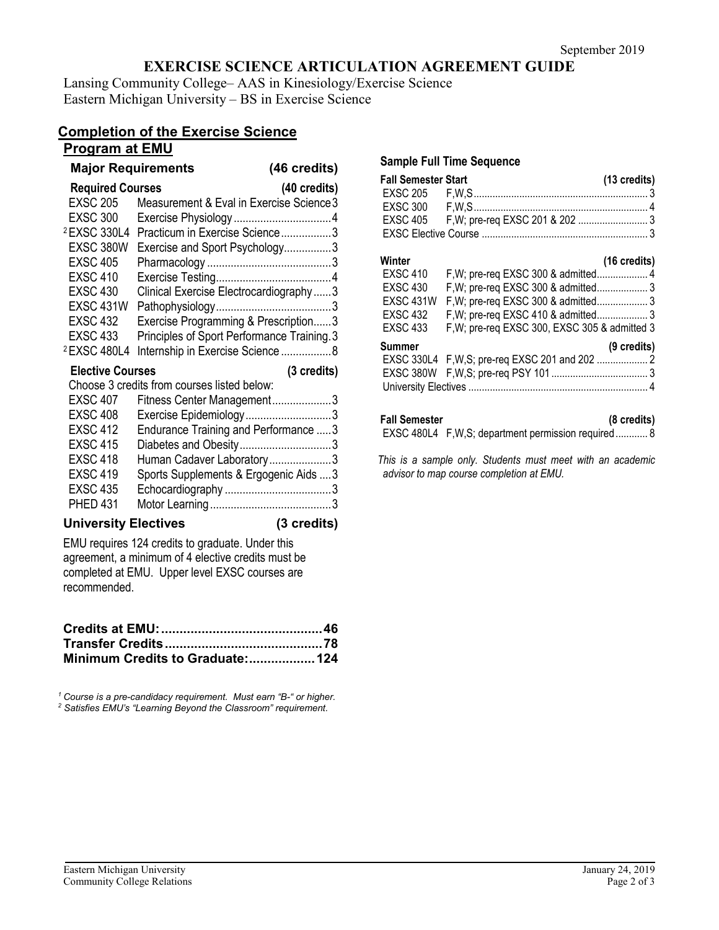# **EXERCISE SCIENCE ARTICULATION AGREEMENT GUIDE**

Lansing Community College– AAS in Kinesiology/Exercise Science Eastern Michigan University – BS in Exercise Science

# **Completion of the Exercise Science**

### **Program at EMU**

# **Major Requirements (46 credits)**

|  | 170 vrturioj   |  |
|--|----------------|--|
|  | $(40$ aradita) |  |

| <b>Required Courses</b> | (40 credits)                                                   |  |
|-------------------------|----------------------------------------------------------------|--|
| <b>EXSC 205</b>         | Measurement & Eval in Exercise Science 3                       |  |
| <b>EXSC 300</b>         |                                                                |  |
| <sup>2</sup> EXSC 330L4 | Practicum in Exercise Science3                                 |  |
| EXSC 380W               | Exercise and Sport Psychology3                                 |  |
| <b>EXSC 405</b>         |                                                                |  |
| <b>EXSC 410</b>         |                                                                |  |
| <b>EXSC 430</b>         | Clinical Exercise Electrocardiography3                         |  |
| <b>EXSC 431W</b>        |                                                                |  |
| <b>EXSC 432</b>         | Exercise Programming & Prescription3                           |  |
| <b>EXSC 433</b>         | Principles of Sport Performance Training.3                     |  |
| <sup>2</sup> EXSC 480L4 | Internship in Exercise Science 8                               |  |
|                         |                                                                |  |
| <b>Elective Courses</b> | (3 credits)                                                    |  |
|                         | Choose 3 credits from courses listed below:                    |  |
| <b>EXSC 407</b>         | Fitness Center Management3                                     |  |
| <b>EXSC 408</b>         | Exercise Epidemiology3                                         |  |
| <b>EXSC 412</b>         |                                                                |  |
| <b>EXSC 415</b>         | Endurance Training and Performance  3<br>Diabetes and Obesity3 |  |
| <b>EXSC 418</b>         | Human Cadaver Laboratory3                                      |  |
| <b>EXSC 419</b>         | Sports Supplements & Ergogenic Aids  3                         |  |
| <b>EXSC 435</b>         |                                                                |  |

#### **University Electives (3 credits)**

EMU requires 124 credits to graduate. Under this agreement, a minimum of 4 elective credits must be completed at EMU. Upper level EXSC courses are recommended.

| Minimum Credits to Graduate: 124 |  |
|----------------------------------|--|

*<sup>1</sup> Course is a pre-candidacy requirement. Must earn "B-" or higher. 2 Satisfies EMU's "Learning Beyond the Classroom" requirement.*

#### **Sample Full Time Sequence**

| <b>Fall Semester Start</b> |  | (13 credits) |
|----------------------------|--|--------------|
|                            |  |              |
|                            |  |              |
|                            |  |              |
|                            |  |              |

#### **Winter (16 credits)**

|                  |                                               | $119$ viverty, |
|------------------|-----------------------------------------------|----------------|
| <b>EXSC 410</b>  | F, W; pre-req EXSC 300 & admitted 4           |                |
| <b>EXSC 430</b>  | F, W; pre-req EXSC 300 & admitted 3           |                |
| <b>EXSC 431W</b> | F, W; pre-req EXSC 300 & admitted 3           |                |
| <b>EXSC 432</b>  | F, W; pre-req EXSC 410 & admitted 3           |                |
| <b>EXSC 433</b>  | F, W; pre-req EXSC 300, EXSC 305 & admitted 3 |                |
| Summer           |                                               | (9 credits)    |
|                  |                                               |                |
|                  |                                               |                |
|                  |                                               |                |
|                  |                                               |                |

#### **Fall Semester (8 credits)**

EXSC 480L4 F,W,S; department permission required............ 8

*This is a sample only. Students must meet with an academic advisor to map course completion at EMU.*